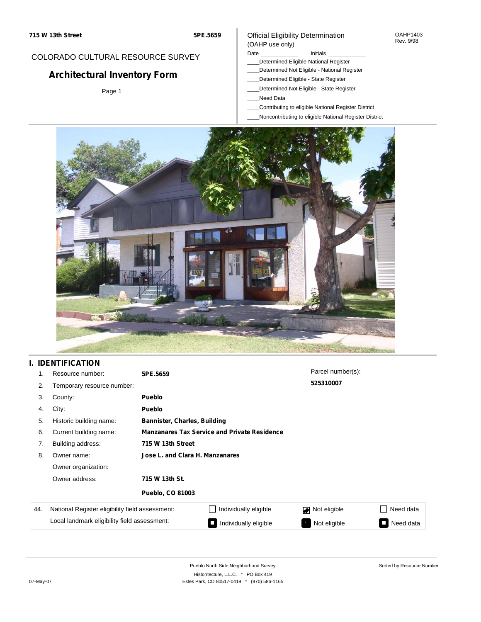## COLORADO CULTURAL RESOURCE SURVEY

# **Architectural Inventory Form**

Page 1

### Official Eligibility Determination (OAHP use only)

Date **Initials** Initials

- \_\_\_\_Determined Eligible-National Register
- \_\_\_\_Determined Not Eligible National Register
- \_\_\_\_Determined Eligible State Register
- \_\_\_\_Determined Not Eligible State Register
- \_\_\_\_Need Data
- \_\_\_\_Contributing to eligible National Register District
- \_\_\_\_Noncontributing to eligible National Register District



## **I. IDENTIFICATION**

|     | Resource number:                                | 5PE.5659                        |                                                     | Parcel number(s): |                                       |  |  |  |  |
|-----|-------------------------------------------------|---------------------------------|-----------------------------------------------------|-------------------|---------------------------------------|--|--|--|--|
| 2.  | Temporary resource number:                      |                                 |                                                     | 525310007         |                                       |  |  |  |  |
| 3.  | County:                                         | <b>Pueblo</b>                   |                                                     |                   |                                       |  |  |  |  |
| 4.  | City:                                           | <b>Pueblo</b>                   |                                                     |                   |                                       |  |  |  |  |
| 5.  | Historic building name:                         |                                 | Bannister, Charles, Building                        |                   |                                       |  |  |  |  |
| 6.  | Current building name:                          |                                 | <b>Manzanares Tax Service and Private Residence</b> |                   |                                       |  |  |  |  |
| 7.  | Building address:                               | 715 W 13th Street               |                                                     |                   |                                       |  |  |  |  |
| 8.  | Owner name:                                     | Jose L. and Clara H. Manzanares |                                                     |                   |                                       |  |  |  |  |
|     | Owner organization:                             |                                 |                                                     |                   |                                       |  |  |  |  |
|     | Owner address:                                  | 715 W 13th St.                  |                                                     |                   |                                       |  |  |  |  |
|     |                                                 | <b>Pueblo, CO 81003</b>         |                                                     |                   |                                       |  |  |  |  |
| 44. | National Register eligibility field assessment: |                                 | Individually eligible                               | Not eligible      | Need data                             |  |  |  |  |
|     | Local landmark eligibility field assessment:    |                                 | Individually eligible<br>$\Box$                     | Not eligible      | Need data<br>$\overline{\phantom{a}}$ |  |  |  |  |

OAHP1403 Rev. 9/98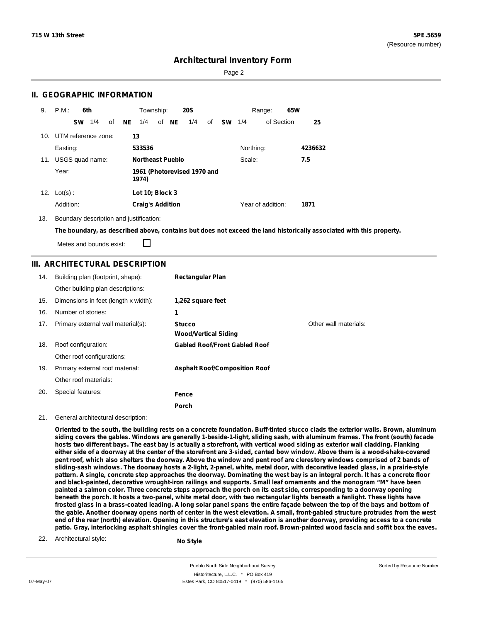Sorted by Resource Number

## **Architectural Inventory Form**

Page 2

### **II. GEOGRAPHIC INFORMATION**

| 9.  | P.M.<br>6th         |          | Township:                            |       | <b>20S</b> |    |           |           | 65W<br>Range:     |         |
|-----|---------------------|----------|--------------------------------------|-------|------------|----|-----------|-----------|-------------------|---------|
|     | 1/4<br><b>SW</b>    | NE<br>of | 1/4                                  | of NE | 1/4        | of | <b>SW</b> | 1/4       | of Section        | 25      |
| 10. | UTM reference zone: |          | 13                                   |       |            |    |           |           |                   |         |
|     | Easting:            |          | 533536                               |       |            |    |           | Northing: |                   | 4236632 |
| 11. | USGS quad name:     |          | <b>Northeast Pueblo</b>              |       |            |    |           | Scale:    |                   | 7.5     |
|     | Year:               |          | 1961 (Photorevised 1970 and<br>1974) |       |            |    |           |           |                   |         |
| 12. | $Lot(s)$ :          |          | Lot 10; Block 3                      |       |            |    |           |           |                   |         |
|     | Addition:           |          | <b>Craig's Addition</b>              |       |            |    |           |           | Year of addition: | 1871    |

13. Boundary description and justification:

The boundary, as described above, contains but does not exceed the land historically associated with this property.

П Metes and bounds exist:

### **III. ARCHITECTURAL DESCRIPTION**

| 14. | Building plan (footprint, shape):<br>Other building plan descriptions: | <b>Rectangular Plan</b>                      |                       |
|-----|------------------------------------------------------------------------|----------------------------------------------|-----------------------|
| 15. | Dimensions in feet (length x width):                                   | 1,262 square feet                            |                       |
| 16. | Number of stories:                                                     | 1                                            |                       |
| 17. | Primary external wall material(s):                                     | <b>Stucco</b><br><b>Wood/Vertical Siding</b> | Other wall materials: |
| 18. | Roof configuration:                                                    | <b>Gabled Roof/Front Gabled Roof</b>         |                       |
|     | Other roof configurations:                                             |                                              |                       |
| 19. | Primary external roof material:                                        | <b>Asphalt Roof/Composition Roof</b>         |                       |
|     | Other roof materials:                                                  |                                              |                       |
| 20. | Special features:                                                      | Fence                                        |                       |
|     |                                                                        | Porch                                        |                       |

#### 21. General architectural description:

Oriented to the south, the building rests on a concrete foundation. Buff-tinted stucco clads the exterior walls, Brown, aluminum siding covers the gables. Windows are generally 1-beside-1-light, sliding sash, with aluminum frames. The front (south) facade hosts two different bays. The east bay is actually a storefront, with vertical wood siding as exterior wall cladding. Flanking either side of a doorway at the center of the storefront are 3-sided, canted bow window. Above them is a wood-shake-covered pent roof, which also shelters the doorway. Above the window and pent roof are clerestory windows comprised of 2 bands of sliding-sash windows. The doorway hosts a 2-light, 2-panel, white, metal door, with decorative leaded glass, in a prairie-style pattern. A single, concrete step approaches the doorway. Dominating the west bay is an integral porch. It has a concrete floor and black-painted, decorative wrought-iron railings and supports. Small leaf ornaments and the monogram "M" have been painted a salmon color. Three concrete steps approach the porch on its east side, corresponding to a doorway opening beneath the porch. It hosts a two-panel, white metal door, with two rectangular lights beneath a fanlight. These lights have frosted glass in a brass-coated leading. A long solar panel spans the entire façade between the top of the bays and bottom of the gable. Another doorway opens north of center in the west elevation. A small, front-gabled structure protrudes from the west end of the rear (north) elevation. Opening in this structure's east elevation is another doorway, providing access to a concrete patio. Gray, interlocking asphalt shingles cover the front-gabled main roof. Brown-painted wood fascia and soffit box the eaves.

22. Architectural style:

**No Style**

Pueblo North Side Neighborhood Survey Historitecture, L.L.C. \* PO Box 419 07-May-07 **Estes Park, CO 80517-0419** \* (970) 586-1165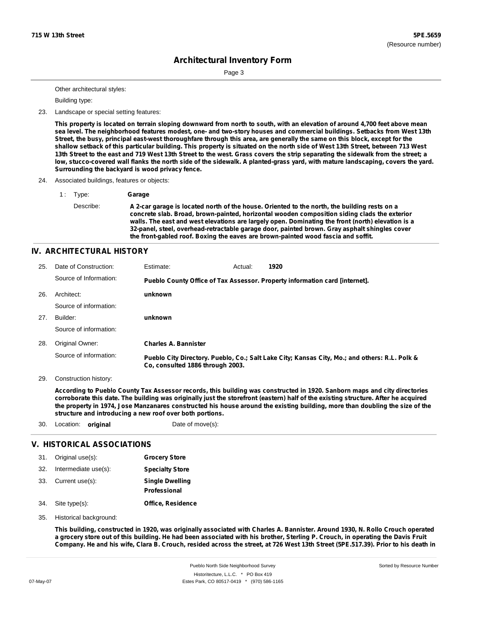Page 3

Other architectural styles:

Building type:

23. Landscape or special setting features:

This property is located on terrain sloping downward from north to south, with an elevation of around 4,700 feet above mean sea level. The neighborhood features modest, one- and two-story houses and commercial buildings. Setbacks from West 13th Street, the busy, principal east-west thoroughfare through this area, are generally the same on this block, except for the shallow setback of this particular building. This property is situated on the north side of West 13th Street, between 713 West 13th Street to the east and 719 West 13th Street to the west. Grass covers the strip separating the sidewalk from the street; a low, stucco-covered wall flanks the north side of the sidewalk. A planted-grass yard, with mature landscaping, covers the yard. **Surrounding the backyard is wood privacy fence.**

- 24. Associated buildings, features or objects:
	- 1 : Type: **Garage** Describe: A 2-car garage is located north of the house. Oriented to the north, the building rests on a **concrete slab. Broad, brown-painted, horizontal wooden composition siding clads the exterior walls. The east and west elevations are largely open. Dominating the front (north) elevation is a 32-panel, steel, overhead-retractable garage door, painted brown. Gray asphalt shingles cover the front-gabled roof. Boxing the eaves are brown-painted wood fascia and soffit.**

### **IV. ARCHITECTURAL HISTORY**

| 25. | Date of Construction:  | Estimate:                        | Actual: | 1920                                                                                          |
|-----|------------------------|----------------------------------|---------|-----------------------------------------------------------------------------------------------|
|     | Source of Information: |                                  |         | Pueblo County Office of Tax Assessor. Property information card [internet].                   |
| 26. | Architect:             | unknown                          |         |                                                                                               |
|     | Source of information: |                                  |         |                                                                                               |
| 27. | Builder:               | unknown                          |         |                                                                                               |
|     | Source of information: |                                  |         |                                                                                               |
| 28. | Original Owner:        | <b>Charles A. Bannister</b>      |         |                                                                                               |
|     | Source of information: | Co. consulted 1886 through 2003. |         | Pueblo City Directory. Pueblo, Co.; Salt Lake City; Kansas City, Mo.; and others: R.L. Polk & |

29. Construction history:

According to Pueblo County Tax Assessor records, this building was constructed in 1920. Sanborn maps and city directories corroborate this date. The building was originally just the storefront (eastern) half of the existing structure. After he acquired the property in 1974, Jose Manzanares constructed his house around the existing building, more than doubling the size of the **structure and introducing a new roof over both portions.**

30. Location: **original** Date of move(s):

#### **V. HISTORICAL ASSOCIATIONS**

| 31. | Original use(s):     | <b>Grocery Store</b>                   |
|-----|----------------------|----------------------------------------|
| 32. | Intermediate use(s): | <b>Specialty Store</b>                 |
| 33. | Current use(s):      | <b>Single Dwelling</b><br>Professional |
| 34. | Site type(s):        | <b>Office, Residence</b>               |

35. Historical background:

This building, constructed in 1920, was originally associated with Charles A. Bannister. Around 1930, N. Rollo Crouch operated a grocery store out of this building. He had been associated with his brother, Sterling P. Crouch, in operating the Davis Fruit Company. He and his wife, Clara B. Crouch, resided across the street, at 726 West 13th Street (5PE.517.39). Prior to his death in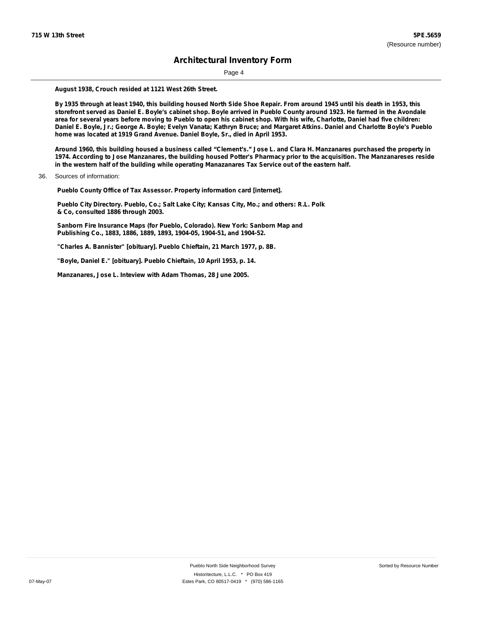Page 4

**August 1938, Crouch resided at 1121 West 26th Street.**

By 1935 through at least 1940, this building housed North Side Shoe Repair. From around 1945 until his death in 1953, this storefront served as Daniel E. Boyle's cabinet shop. Boyle arrived in Pueblo County around 1923. He farmed in the Avondale area for several years before moving to Pueblo to open his cabinet shop. With his wife, Charlotte, Daniel had five children: Daniel E. Boyle, Jr.; George A. Boyle; Evelyn Vanata; Kathryn Bruce; and Margaret Atkins. Daniel and Charlotte Boyle's Pueblo **home was located at 1919 Grand Avenue. Daniel Boyle, Sr., died in April 1953.**

Around 1960, this building housed a business called "Clement's." Jose L. and Clara H. Manzanares purchased the property in 1974. According to Jose Manzanares, the building housed Potter's Pharmacy prior to the acquisition. The Manzanareses reside **in the western half of the building while operating Manazanares Tax Service out of the eastern half.**

36. Sources of information:

**Pueblo County Office of Tax Assessor. Property information card [internet].**

**Pueblo City Directory. Pueblo, Co.; Salt Lake City; Kansas City, Mo.; and others: R.L. Polk & Co, consulted 1886 through 2003.**

**Sanborn Fire Insurance Maps (for Pueblo, Colorado). New York: Sanborn Map and Publishing Co., 1883, 1886, 1889, 1893, 1904-05, 1904-51, and 1904-52.**

**"Charles A. Bannister" [obituary]. Pueblo Chieftain, 21 March 1977, p. 8B.**

**"Boyle, Daniel E." [obituary]. Pueblo Chieftain, 10 April 1953, p. 14.**

**Manzanares, Jose L. Inteview with Adam Thomas, 28 June 2005.**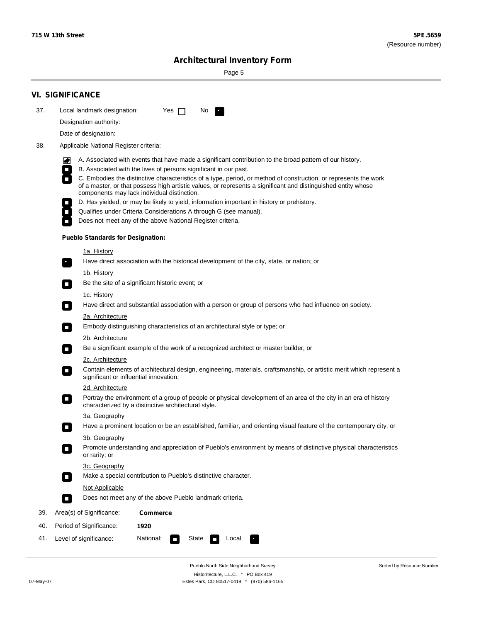۰

Sorted by Resource Number

# **Architectural Inventory Form**

Page 5

|     | <b>VI. SIGNIFICANCE</b>                                                                                                                                                                                                                                       |  |  |  |  |  |  |
|-----|---------------------------------------------------------------------------------------------------------------------------------------------------------------------------------------------------------------------------------------------------------------|--|--|--|--|--|--|
| 37. | Local landmark designation:<br>Yes $\Box$<br>No.<br>$\mathbf{r}_1$                                                                                                                                                                                            |  |  |  |  |  |  |
|     | Designation authority:                                                                                                                                                                                                                                        |  |  |  |  |  |  |
|     | Date of designation:                                                                                                                                                                                                                                          |  |  |  |  |  |  |
| 38. | Applicable National Register criteria:                                                                                                                                                                                                                        |  |  |  |  |  |  |
|     |                                                                                                                                                                                                                                                               |  |  |  |  |  |  |
|     | A. Associated with events that have made a significant contribution to the broad pattern of our history.<br>M<br>B. Associated with the lives of persons significant in our past.<br>$\Box$                                                                   |  |  |  |  |  |  |
|     | C. Embodies the distinctive characteristics of a type, period, or method of construction, or represents the work<br>$\overline{\phantom{a}}$<br>of a master, or that possess high artistic values, or represents a significant and distinguished entity whose |  |  |  |  |  |  |
|     | components may lack individual distinction.<br>D. Has yielded, or may be likely to yield, information important in history or prehistory.                                                                                                                     |  |  |  |  |  |  |
|     | Qualifies under Criteria Considerations A through G (see manual).<br>$\overline{\phantom{a}}$                                                                                                                                                                 |  |  |  |  |  |  |
|     | Does not meet any of the above National Register criteria.                                                                                                                                                                                                    |  |  |  |  |  |  |
|     | <b>Pueblo Standards for Designation:</b>                                                                                                                                                                                                                      |  |  |  |  |  |  |
|     | 1a. History                                                                                                                                                                                                                                                   |  |  |  |  |  |  |
|     | Have direct association with the historical development of the city, state, or nation; or<br>$\overline{\phantom{a}}$ .                                                                                                                                       |  |  |  |  |  |  |
|     | <u>1b. History</u>                                                                                                                                                                                                                                            |  |  |  |  |  |  |
|     | Be the site of a significant historic event; or<br>$\Box$                                                                                                                                                                                                     |  |  |  |  |  |  |
|     | 1c. History                                                                                                                                                                                                                                                   |  |  |  |  |  |  |
|     | Have direct and substantial association with a person or group of persons who had influence on society.<br>$\Box$                                                                                                                                             |  |  |  |  |  |  |
|     | 2a. Architecture                                                                                                                                                                                                                                              |  |  |  |  |  |  |
|     | Embody distinguishing characteristics of an architectural style or type; or<br>$\Box$                                                                                                                                                                         |  |  |  |  |  |  |
|     | 2b. Architecture                                                                                                                                                                                                                                              |  |  |  |  |  |  |
|     | Be a significant example of the work of a recognized architect or master builder, or<br>$\overline{\phantom{a}}$                                                                                                                                              |  |  |  |  |  |  |
|     | 2c. Architecture<br>Contain elements of architectural design, engineering, materials, craftsmanship, or artistic merit which represent a<br>$\Box$<br>significant or influential innovation;                                                                  |  |  |  |  |  |  |
|     | 2d. Architecture                                                                                                                                                                                                                                              |  |  |  |  |  |  |
|     | Portray the environment of a group of people or physical development of an area of the city in an era of history<br>$\overline{\phantom{a}}$<br>characterized by a distinctive architectural style.                                                           |  |  |  |  |  |  |
|     | 3a. Geography                                                                                                                                                                                                                                                 |  |  |  |  |  |  |
|     | Have a prominent location or be an established, familiar, and orienting visual feature of the contemporary city, or                                                                                                                                           |  |  |  |  |  |  |
|     | 3b. Geography                                                                                                                                                                                                                                                 |  |  |  |  |  |  |
|     | Promote understanding and appreciation of Pueblo's environment by means of distinctive physical characteristics<br>or rarity; or                                                                                                                              |  |  |  |  |  |  |
|     | 3c. Geography                                                                                                                                                                                                                                                 |  |  |  |  |  |  |
|     | Make a special contribution to Pueblo's distinctive character.<br>$\Box$                                                                                                                                                                                      |  |  |  |  |  |  |
|     | Not Applicable                                                                                                                                                                                                                                                |  |  |  |  |  |  |
|     | Does not meet any of the above Pueblo landmark criteria.<br>$\Box$                                                                                                                                                                                            |  |  |  |  |  |  |
| 39. | Area(s) of Significance:<br><b>Commerce</b>                                                                                                                                                                                                                   |  |  |  |  |  |  |
| 40. | Period of Significance:<br>1920                                                                                                                                                                                                                               |  |  |  |  |  |  |
| 41. | Level of significance:<br>National:<br>State<br>Local<br>$\Box$                                                                                                                                                                                               |  |  |  |  |  |  |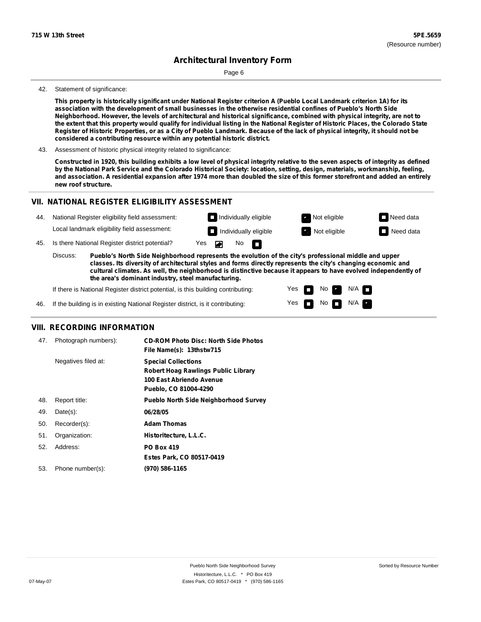Page 6

#### 42. Statement of significance:

This property is historically significant under National Register criterion A (Pueblo Local Landmark criterion 1A) for its association with the development of small businesses in the otherwise residential confines of Pueblo's North Side Neighborhood. However, the levels of architectural and historical significance, combined with physical integrity, are not to the extent that this property would qualify for individual listing in the National Register of Historic Places, the Colorado State Register of Historic Properties, or as a City of Pueblo Landmark. Because of the lack of physical integrity, it should not be **considered a contributing resource within any potential historic district.**

43. Assessment of historic physical integrity related to significance:

Constructed in 1920, this building exhibits a low level of physical integrity relative to the seven aspects of integrity as defined by the National Park Service and the Colorado Historical Society: location, setting, design, materials, workmanship, feeling, and association. A residential expansion after 1974 more than doubled the size of this former storefront and added an entirely **new roof structure.**

> Yes Yes

No

N/A N/A

### **VII. NATIONAL REGISTER ELIGIBILITY ASSESSMENT**

| 44.                                                                                                                                                                                                                                                                                                                                                   |  | National Register eligibility field assessment: |     |     | $\Box$ Individually eligible | Not eligible | $\Box$ Need data |
|-------------------------------------------------------------------------------------------------------------------------------------------------------------------------------------------------------------------------------------------------------------------------------------------------------------------------------------------------------|--|-------------------------------------------------|-----|-----|------------------------------|--------------|------------------|
|                                                                                                                                                                                                                                                                                                                                                       |  | Local landmark eligibility field assessment:    |     |     | $\Box$ Individually eligible | Not eligible | $\Box$ Need data |
| 45.                                                                                                                                                                                                                                                                                                                                                   |  | Is there National Register district potential?  | Yes | No. | <b>In</b>                    |              |                  |
| Discuss:<br>Pueblo's North Side Neighborhood represents the evolution of the city's professional middle and upper<br>classes. Its diversity of architectural styles and forms directly represents the city's changing economic and<br>cultural climates. As well, the neighborhood is distinctive because it appears to have evolved independently of |  |                                                 |     |     |                              |              |                  |

**the area's dominant industry, steel manufacturing.**

If there is National Register district potential, is this building contributing:

46. If the building is in existing National Register district, is it contributing:

### **VIII. RECORDING INFORMATION**

| 47. | Photograph numbers): | <b>CD-ROM Photo Disc: North Side Photos</b><br>File Name(s): 13thstw715                                                       |
|-----|----------------------|-------------------------------------------------------------------------------------------------------------------------------|
|     | Negatives filed at:  | <b>Special Collections</b><br><b>Robert Hoag Rawlings Public Library</b><br>100 East Abriendo Avenue<br>Pueblo, CO 81004-4290 |
| 48. | Report title:        | <b>Pueblo North Side Neighborhood Survey</b>                                                                                  |
| 49. | $Date(s)$ :          | 06/28/05                                                                                                                      |
| 50. | Recorder(s):         | <b>Adam Thomas</b>                                                                                                            |
| 51. | Organization:        | Historitecture, L.L.C.                                                                                                        |
| 52. | Address:             | <b>PO Box 419</b>                                                                                                             |
|     |                      | Estes Park, CO 80517-0419                                                                                                     |
| 53. | Phone number(s):     | (970) 586-1165                                                                                                                |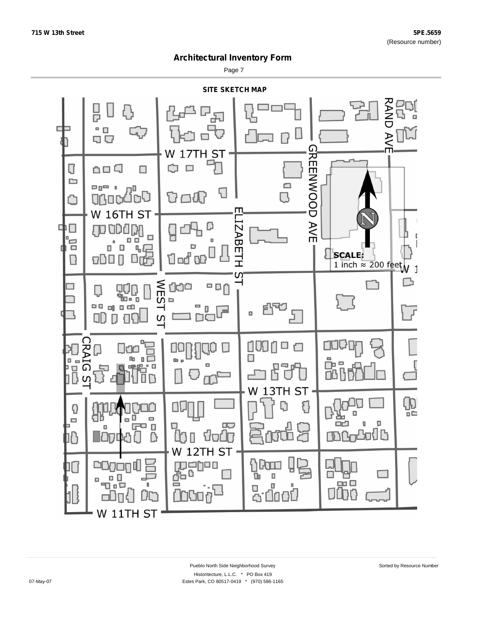Page 7